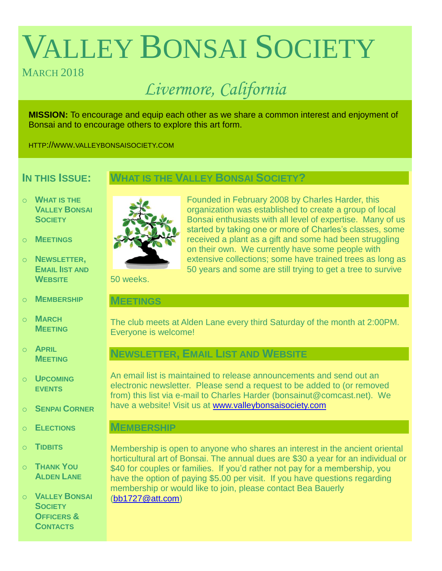# VALLEY BONSAI SOCIETY

## MARCH<sub>2018</sub>

## *Livermore, California*

**MISSION:** To encourage and equip each other as we share a common interest and enjoyment of Bonsai and to encourage others to explore this art form.

HTTP://WWW.VALLEYBONSAISOCIETY.COM

## **IN THIS ISSUE:**

## **WHAT IS THE VALLEY BONSAI SOCIETY?**

- o **WHAT IS THE VALLEY BONSAI SOCIETY**
- o **MEETINGS**
- o **NEWSLETTER, EMAIL IIST AND WEBSITE**
- o **MEMBERSHIP**
- o **MARCH MEETING**
- o **APRIL MEETING**
- o **UPCOMING EVENTS**
- o **SENPAI CORNER**
- o **ELECTIONS**
- o **TIDBITS**
- o **THANK YOU ALDEN LANE**

o **VALLEY BONSAI SOCIETY OFFICERS & CONTACTS**



Founded in February 2008 by Charles Harder, this organization was established to create a group of local Bonsai enthusiasts with all level of expertise. Many of us started by taking one or more of Charles's classes, some received a plant as a gift and some had been struggling on their own. We currently have some people with extensive collections; some have trained trees as long as 50 years and some are still trying to get a tree to survive

50 weeks.

### **MEETINGS**

The club meets at Alden Lane every third Saturday of the month at 2:00PM. Everyone is welcome!

## **NEWSLETTER, EMAIL LIST AND WEBSITE**

An email list is maintained to release announcements and send out an electronic newsletter. Please send a request to be added to (or removed from) this list via e-mail to Charles Harder (bonsainut@comcast.net). We have a website! Visit us at [www.valleybonsaisociety.com](http://www.valleybonsaisociety.com/)

## **MEMBERSHIP**

Membership is open to anyone who shares an interest in the ancient oriental horticultural art of Bonsai. The annual dues are \$30 a year for an individual or \$40 for couples or families. If you'd rather not pay for a membership, you have the option of paying \$5.00 per visit. If you have questions regarding membership or would like to join, please contact Bea Bauerly [\(bb1727@att.com\)](mailto:bb1727@att.com)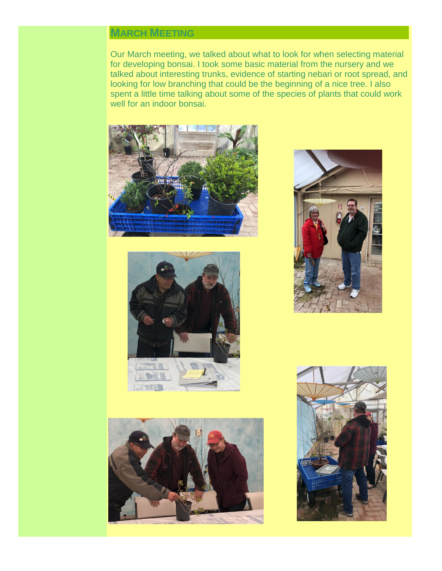## **MARCH MEETING**

Our March meeting, we talked about what to look for when selecting material for developing bonsai. I took some basic material from the nursery and we talked about interesting trunks, evidence of starting nebari or root spread, and looking for low branching that could be the beginning of a nice tree. I also spent a little time talking about some of the species of plants that could work well for an indoor bonsai.









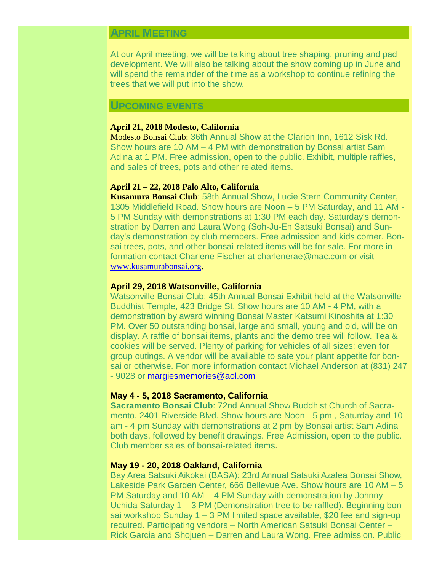## **APRIL MEETING**

At our April meeting, we will be talking about tree shaping, pruning and pad development. We will also be talking about the show coming up in June and will spend the remainder of the time as a workshop to continue refining the trees that we will put into the show.

#### **UPCOMING EVENTS**

#### **April 21, 2018 Modesto, California**

Modesto Bonsai Club: 36th Annual Show at the Clarion Inn, 1612 Sisk Rd. Show hours are 10 AM – 4 PM with demonstration by Bonsai artist Sam Adina at 1 PM. Free admission, open to the public. Exhibit, multiple raffles, and sales of trees, pots and other related items.

#### **April 21 – 22, 2018 Palo Alto, California**

**Kusamura Bonsai Club**: 58th Annual Show, Lucie Stern Community Center, 1305 Middlefield Road. Show hours are Noon – 5 PM Saturday, and 11 AM - 5 PM Sunday with demonstrations at 1:30 PM each day. Saturday's demonstration by Darren and Laura Wong (Soh-Ju-En Satsuki Bonsai) and Sunday's demonstration by club members. Free admission and kids corner. Bonsai trees, pots, and other bonsai-related items will be for sale. For more information contact Charlene Fischer at charlenerae@mac.com or visit [www.kusamurabonsai.org.](http://www.kusamurabonsai.org/)

#### **April 29, 2018 Watsonville, California**

Watsonville Bonsai Club: 45th Annual Bonsai Exhibit held at the Watsonville Buddhist Temple, 423 Bridge St. Show hours are 10 AM - 4 PM, with a demonstration by award winning Bonsai Master Katsumi Kinoshita at 1:30 PM. Over 50 outstanding bonsai, large and small, young and old, will be on display. A raffle of bonsai items, plants and the demo tree will follow. Tea & cookies will be served. Plenty of parking for vehicles of all sizes; even for group outings. A vendor will be available to sate your plant appetite for bonsai or otherwise. For more information contact Michael Anderson at (831) 247 - 9028 or [margiesmemories@aol.com](mailto:margiesmemories@aol.com)

#### **May 4 - 5, 2018 Sacramento, California**

**Sacramento Bonsai Club**: 72nd Annual Show Buddhist Church of Sacramento, 2401 Riverside Blvd. Show hours are Noon - 5 pm , Saturday and 10 am - 4 pm Sunday with demonstrations at 2 pm by Bonsai artist Sam Adina both days, followed by benefit drawings. Free Admission, open to the public. Club member sales of bonsai-related items.

#### **May 19 - 20, 2018 Oakland, California**

Bay Area Satsuki Aikokai (BASA): 23rd Annual Satsuki Azalea Bonsai Show, Lakeside Park Garden Center, 666 Bellevue Ave. Show hours are 10 AM – 5 PM Saturday and 10 AM – 4 PM Sunday with demonstration by Johnny Uchida Saturday 1 – 3 PM (Demonstration tree to be raffled). Beginning bonsai workshop Sunday 1 – 3 PM limited space available, \$20 fee and sign-up required. Participating vendors – North American Satsuki Bonsai Center – Rick Garcia and Shojuen – Darren and Laura Wong. Free admission. Public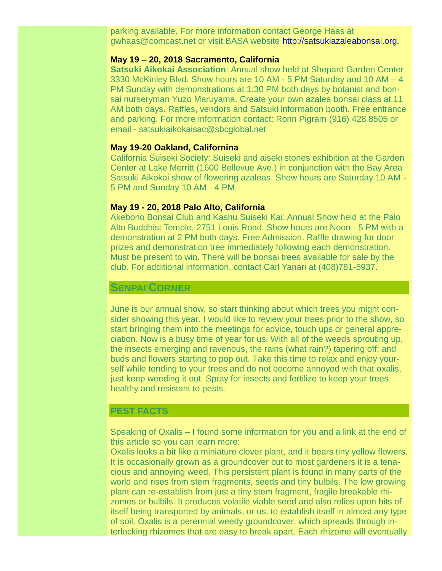parking available. For more information contact George Haas at gwhaas@comcast.net or visit BASA website [http://satsukiazaleabonsai.org.](http://satsukiazaleabonsai.org./)

#### **May 19 – 20, 2018 Sacramento, California**

**Satsuki Aikokai Association**: Annual show held at Shepard Garden Center 3330 McKinley Blvd. Show hours are 10 AM - 5 PM Saturday and 10 AM – 4 PM Sunday with demonstrations at 1:30 PM both days by botanist and bonsai nurseryman Yuzo Maruyama. Create your own azalea bonsai class at 11 AM both days. Raffles, vendors and Satsuki information booth. Free entrance and parking. For more information contact: Ronn Pigram (916) 428 8505 or email - satsukiaikokaisac@sbcglobal.net

#### **May 19-20 Oakland, Californina**

California Suiseki Society: Suiseki and aiseki stones exhibition at the Garden Center at Lake Merritt (1600 Bellevue Ave.) in conjunction with the Bay Area Satsuki Aikokai show of flowering azaleas. Show hours are Saturday 10 AM - 5 PM and Sunday 10 AM - 4 PM.

#### **May 19 - 20, 2018 Palo Alto, California**

Akebono Bonsai Club and Kashu Suiseki Kai: Annual Show held at the Palo Alto Buddhist Temple, 2751 Louis Road. Show hours are Noon - 5 PM with a demonstration at 2 PM both days. Free Admission. Raffle drawing for door prizes and demonstration tree immediately following each demonstration. Must be present to win. There will be bonsai trees available for sale by the club. For additional information, contact Carl Yanari at (408)781-5937.

#### **SENPAI CORNER**

June is our annual show, so start thinking about which trees you might consider showing this year. I would like to review your trees prior to the show, so start bringing them into the meetings for advice, touch ups or general appreciation. Now is a busy time of year for us. With all of the weeds sprouting up, the insects emerging and ravenous, the rains (what rain?) tapering off; and buds and flowers starting to pop out. Take this time to relax and enjoy yourself while tending to your trees and do not become annoyed with that oxalis, just keep weeding it out. Spray for insects and fertilize to keep your trees healthy and resistant to pests.

#### **PEST FACTS**

Speaking of Oxalis – I found some information for you and a link at the end of this article so you can learn more:

Oxalis looks a bit like a miniature clover plant, and it bears tiny yellow flowers. It is occasionally grown as a groundcover but to most gardeners it is a tenacious and annoying weed. This persistent plant is found in many parts of the world and rises from stem fragments, seeds and tiny bulbils. The low growing plant can re-establish from just a tiny stem fragment, fragile breakable rhizomes or bulbils. It produces volatile viable seed and also relies upon bits of itself being transported by animals, or us, to establish itself in almost any type of soil. Oxalis is a perennial weedy groundcover, which spreads through interlocking rhizomes that are easy to break apart. Each rhizome will eventually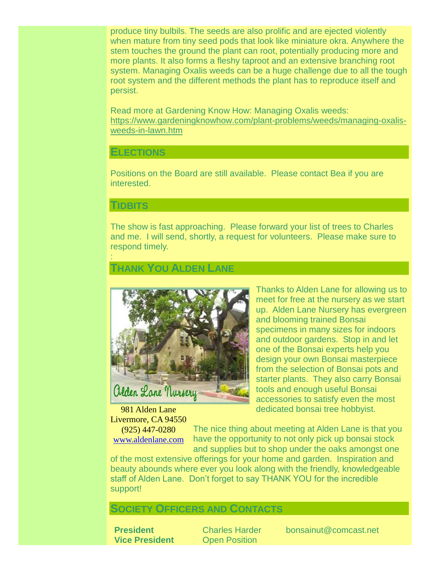produce tiny bulbils. The seeds are also prolific and are ejected violently when mature from tiny seed pods that look like miniature okra. Anywhere the stem touches the ground the plant can root, potentially producing more and more plants. It also forms a fleshy taproot and an extensive branching root system. Managing Oxalis weeds can be a huge challenge due to all the tough root system and the different methods the plant has to reproduce itself and persist.

Read more at Gardening Know How: Managing Oxalis weeds: [https://www.gardeningknowhow.com/plant-problems/weeds/managing-oxalis](https://www.gardeningknowhow.com/plant-problems/weeds/managing-oxalis-weeds-in-lawn.htm)[weeds-in-lawn.htm](https://www.gardeningknowhow.com/plant-problems/weeds/managing-oxalis-weeds-in-lawn.htm)

#### **ELECTIONS**

Positions on the Board are still available. Please contact Bea if you are interested.

#### **TIDBITS**

:

The show is fast approaching. Please forward your list of trees to Charles and me. I will send, shortly, a request for volunteers. Please make sure to respond timely.

## **THANK YOU ALDEN LANE**



981 Alden Lane Livermore, CA 94550

(925) 447-0280 [www.aldenlane.com](http://www.aldenlane.com/) Thanks to Alden Lane for allowing us to meet for free at the nursery as we start up. Alden Lane Nursery has evergreen and blooming trained Bonsai specimens in many sizes for indoors and outdoor gardens. Stop in and let one of the Bonsai experts help you design your own Bonsai masterpiece from the selection of Bonsai pots and starter plants. They also carry Bonsai tools and enough useful Bonsai accessories to satisfy even the most dedicated bonsai tree hobbyist.

The nice thing about meeting at Alden Lane is that you have the opportunity to not only pick up bonsai stock and supplies but to shop under the oaks amongst one

of the most extensive offerings for your home and garden. Inspiration and beauty abounds where ever you look along with the friendly, knowledgeable staff of Alden Lane. Don't forget to say THANK YOU for the incredible support!

## **SOCIETY OFFICERS AND CONTACTS**

**Vice President** Open Position

**President** Charles Harder bonsainut@comcast.net